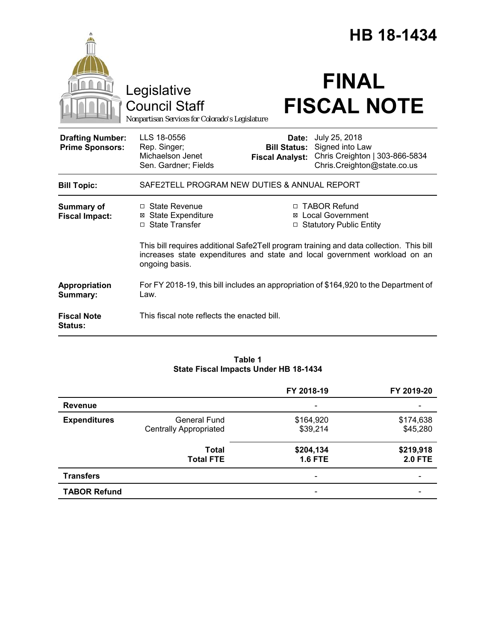|                                                   |                                                                                        |                                                               | <b>HB 18-1434</b>                                                                                                                                                      |
|---------------------------------------------------|----------------------------------------------------------------------------------------|---------------------------------------------------------------|------------------------------------------------------------------------------------------------------------------------------------------------------------------------|
|                                                   | Legislative<br><b>Council Staff</b><br>Nonpartisan Services for Colorado's Legislature |                                                               | <b>FINAL</b><br><b>FISCAL NOTE</b>                                                                                                                                     |
| <b>Drafting Number:</b><br><b>Prime Sponsors:</b> | LLS 18-0556<br>Rep. Singer;<br>Michaelson Jenet<br>Sen. Gardner; Fields                | <b>Date:</b><br><b>Bill Status:</b><br><b>Fiscal Analyst:</b> | July 25, 2018<br>Signed into Law<br>Chris Creighton   303-866-5834<br>Chris.Creighton@state.co.us                                                                      |
| <b>Bill Topic:</b>                                | SAFE2TELL PROGRAM NEW DUTIES & ANNUAL REPORT                                           |                                                               |                                                                                                                                                                        |
| <b>Summary of</b><br><b>Fiscal Impact:</b>        | $\Box$ State Revenue<br><b>⊠</b> State Expenditure<br>□ State Transfer                 | ⊠                                                             | □ TABOR Refund<br><b>Local Government</b><br><b>Statutory Public Entity</b><br>This bill requires additional Safe2Tell program training and data collection. This bill |
|                                                   | ongoing basis.                                                                         |                                                               | increases state expenditures and state and local government workload on an                                                                                             |
| Appropriation<br>Summary:                         | Law.                                                                                   |                                                               | For FY 2018-19, this bill includes an appropriation of \$164,920 to the Department of                                                                                  |
| <b>Fiscal Note</b><br>Status:                     | This fiscal note reflects the enacted bill.                                            |                                                               |                                                                                                                                                                        |

### **Table 1 State Fiscal Impacts Under HB 18-1434**

|                     |                                                      | FY 2018-19                   | FY 2019-20                  |
|---------------------|------------------------------------------------------|------------------------------|-----------------------------|
| <b>Revenue</b>      |                                                      |                              |                             |
| <b>Expenditures</b> | <b>General Fund</b><br><b>Centrally Appropriated</b> | \$164,920<br>\$39,214        | \$174,638<br>\$45,280       |
|                     | Total<br><b>Total FTE</b>                            | \$204,134<br><b>1.6 FTE</b>  | \$219,918<br><b>2.0 FTE</b> |
| <b>Transfers</b>    |                                                      |                              |                             |
| <b>TABOR Refund</b> |                                                      | $\qquad \qquad \blacksquare$ |                             |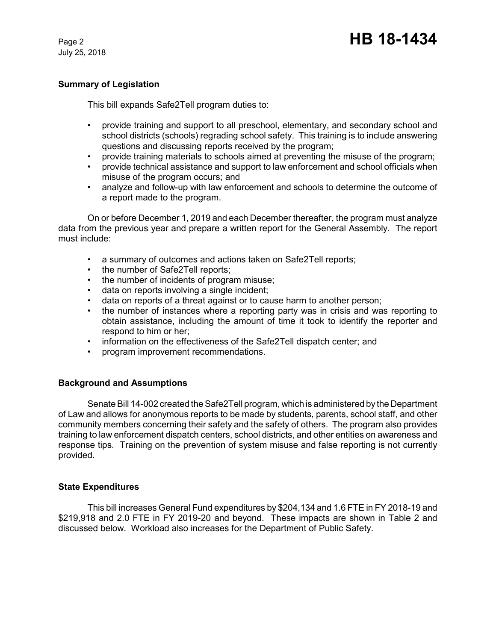July 25, 2018

# **Summary of Legislation**

This bill expands Safe2Tell program duties to:

- provide training and support to all preschool, elementary, and secondary school and school districts (schools) regrading school safety. This training is to include answering questions and discussing reports received by the program;
- provide training materials to schools aimed at preventing the misuse of the program;
- provide technical assistance and support to law enforcement and school officials when misuse of the program occurs; and
- analyze and follow-up with law enforcement and schools to determine the outcome of a report made to the program.

On or before December 1, 2019 and each December thereafter, the program must analyze data from the previous year and prepare a written report for the General Assembly. The report must include:

- a summary of outcomes and actions taken on Safe2Tell reports;
- the number of Safe2Tell reports;
- the number of incidents of program misuse;
- data on reports involving a single incident;
- data on reports of a threat against or to cause harm to another person;
- the number of instances where a reporting party was in crisis and was reporting to obtain assistance, including the amount of time it took to identify the reporter and respond to him or her;
- information on the effectiveness of the Safe2Tell dispatch center; and
- program improvement recommendations.

# **Background and Assumptions**

Senate Bill 14-002 created the Safe2Tell program, which is administered by the Department of Law and allows for anonymous reports to be made by students, parents, school staff, and other community members concerning their safety and the safety of others. The program also provides training to law enforcement dispatch centers, school districts, and other entities on awareness and response tips. Training on the prevention of system misuse and false reporting is not currently provided.

### **State Expenditures**

This bill increases General Fund expenditures by \$204,134 and 1.6 FTE in FY 2018-19 and \$219,918 and 2.0 FTE in FY 2019-20 and beyond. These impacts are shown in Table 2 and discussed below. Workload also increases for the Department of Public Safety.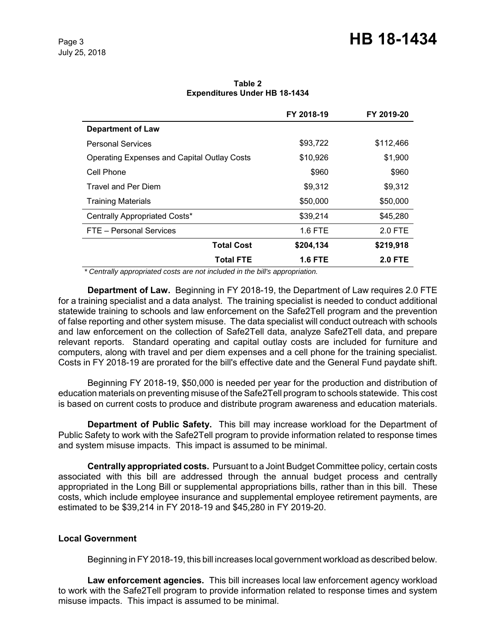# Page 3 **HB 18-1434**

| Table 2                              |  |  |  |  |
|--------------------------------------|--|--|--|--|
| <b>Expenditures Under HB 18-1434</b> |  |  |  |  |

|                                                    | FY 2018-19     | FY 2019-20     |
|----------------------------------------------------|----------------|----------------|
| <b>Department of Law</b>                           |                |                |
| <b>Personal Services</b>                           | \$93,722       | \$112,466      |
| <b>Operating Expenses and Capital Outlay Costs</b> | \$10,926       | \$1,900        |
| Cell Phone                                         | \$960          | \$960          |
| Travel and Per Diem                                | \$9,312        | \$9,312        |
| <b>Training Materials</b>                          | \$50,000       | \$50,000       |
| Centrally Appropriated Costs*                      | \$39,214       | \$45,280       |
| FTE - Personal Services                            | <b>1.6 FTE</b> | 2.0 FTE        |
| <b>Total Cost</b>                                  | \$204,134      | \$219,918      |
| <b>Total FTE</b>                                   | <b>1.6 FTE</b> | <b>2.0 FTE</b> |

 *\* Centrally appropriated costs are not included in the bill's appropriation.*

**Department of Law.** Beginning in FY 2018-19, the Department of Law requires 2.0 FTE for a training specialist and a data analyst. The training specialist is needed to conduct additional statewide training to schools and law enforcement on the Safe2Tell program and the prevention of false reporting and other system misuse. The data specialist will conduct outreach with schools and law enforcement on the collection of Safe2Tell data, analyze Safe2Tell data, and prepare relevant reports. Standard operating and capital outlay costs are included for furniture and computers, along with travel and per diem expenses and a cell phone for the training specialist. Costs in FY 2018-19 are prorated for the bill's effective date and the General Fund paydate shift.

Beginning FY 2018-19, \$50,000 is needed per year for the production and distribution of education materials on preventing misuse of the Safe2Tell program to schools statewide. This cost is based on current costs to produce and distribute program awareness and education materials.

**Department of Public Safety.** This bill may increase workload for the Department of Public Safety to work with the Safe2Tell program to provide information related to response times and system misuse impacts. This impact is assumed to be minimal.

**Centrally appropriated costs.** Pursuant to a Joint Budget Committee policy, certain costs associated with this bill are addressed through the annual budget process and centrally appropriated in the Long Bill or supplemental appropriations bills, rather than in this bill. These costs, which include employee insurance and supplemental employee retirement payments, are estimated to be \$39,214 in FY 2018-19 and \$45,280 in FY 2019-20.

### **Local Government**

Beginning in FY 2018-19, this bill increases local government workload as described below.

**Law enforcement agencies.** This bill increases local law enforcement agency workload to work with the Safe2Tell program to provide information related to response times and system misuse impacts. This impact is assumed to be minimal.